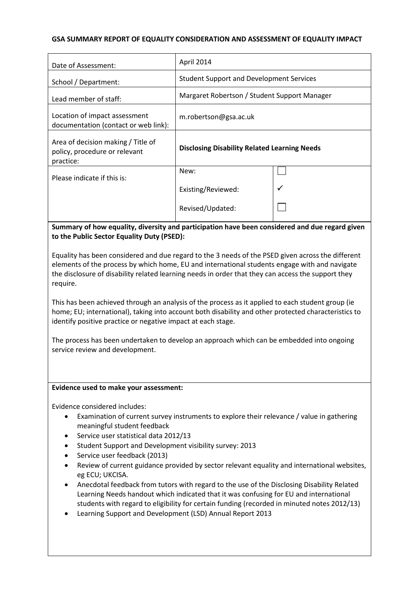### **GSA SUMMARY REPORT OF EQUALITY CONSIDERATION AND ASSESSMENT OF EQUALITY IMPACT**

| Date of Assessment:                                                              | April 2014                                          |  |
|----------------------------------------------------------------------------------|-----------------------------------------------------|--|
| School / Department:                                                             | <b>Student Support and Development Services</b>     |  |
| Lead member of staff:                                                            | Margaret Robertson / Student Support Manager        |  |
| Location of impact assessment<br>documentation (contact or web link):            | m.robertson@gsa.ac.uk                               |  |
| Area of decision making / Title of<br>policy, procedure or relevant<br>practice: | <b>Disclosing Disability Related Learning Needs</b> |  |
| Please indicate if this is:                                                      | New:                                                |  |
|                                                                                  | Existing/Reviewed:                                  |  |
|                                                                                  | Revised/Updated:                                    |  |

**Summary of how equality, diversity and participation have been considered and due regard given to the Public Sector Equality Duty (PSED):**

Equality has been considered and due regard to the 3 needs of the PSED given across the different elements of the process by which home, EU and international students engage with and navigate the disclosure of disability related learning needs in order that they can access the support they require.

This has been achieved through an analysis of the process as it applied to each student group (ie home; EU; international), taking into account both disability and other protected characteristics to identify positive practice or negative impact at each stage.

The process has been undertaken to develop an approach which can be embedded into ongoing service review and development.

#### **Evidence used to make your assessment:**

Evidence considered includes:

- Examination of current survey instruments to explore their relevance / value in gathering meaningful student feedback
- Service user statistical data 2012/13
- Student Support and Development visibility survey: 2013
- Service user feedback (2013)
- Review of current guidance provided by sector relevant equality and international websites, eg ECU; UKCISA.
- Anecdotal feedback from tutors with regard to the use of the Disclosing Disability Related Learning Needs handout which indicated that it was confusing for EU and international students with regard to eligibility for certain funding (recorded in minuted notes 2012/13)
- Learning Support and Development (LSD) Annual Report 2013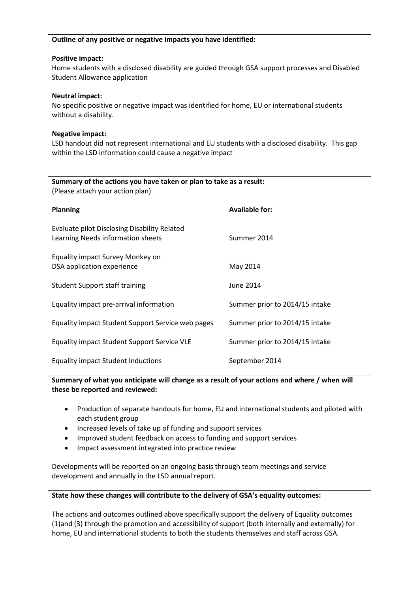| Outline of any positive or negative impacts you have identified:                                                                                                                         |                                |  |  |
|------------------------------------------------------------------------------------------------------------------------------------------------------------------------------------------|--------------------------------|--|--|
| <b>Positive impact:</b><br>Home students with a disclosed disability are guided through GSA support processes and Disabled<br><b>Student Allowance application</b>                       |                                |  |  |
| <b>Neutral impact:</b><br>No specific positive or negative impact was identified for home, EU or international students<br>without a disability.                                         |                                |  |  |
| <b>Negative impact:</b><br>LSD handout did not represent international and EU students with a disclosed disability. This gap<br>within the LSD information could cause a negative impact |                                |  |  |
| Summary of the actions you have taken or plan to take as a result:<br>(Please attach your action plan)                                                                                   |                                |  |  |
| <b>Planning</b>                                                                                                                                                                          | <b>Available for:</b>          |  |  |
| <b>Evaluate pilot Disclosing Disability Related</b><br>Learning Needs information sheets                                                                                                 | Summer 2014                    |  |  |
| Equality impact Survey Monkey on<br>DSA application experience                                                                                                                           | May 2014                       |  |  |
| <b>Student Support staff training</b>                                                                                                                                                    | <b>June 2014</b>               |  |  |
| Equality impact pre-arrival information                                                                                                                                                  | Summer prior to 2014/15 intake |  |  |
| Equality impact Student Support Service web pages                                                                                                                                        | Summer prior to 2014/15 intake |  |  |
| Equality impact Student Support Service VLE                                                                                                                                              | Summer prior to 2014/15 intake |  |  |
| <b>Equality impact Student Inductions</b>                                                                                                                                                | September 2014                 |  |  |

**Summary of what you anticipate will change as a result of your actions and where / when will these be reported and reviewed:**

- Production of separate handouts for home, EU and international students and piloted with each student group
- Increased levels of take up of funding and support services
- Improved student feedback on access to funding and support services
- Impact assessment integrated into practice review

Developments will be reported on an ongoing basis through team meetings and service development and annually in the LSD annual report.

### **State how these changes will contribute to the delivery of GSA's equality outcomes:**

The actions and outcomes outlined above specifically support the delivery of Equality outcomes (1)and (3) through the promotion and accessibility of support (both internally and externally) for home, EU and international students to both the students themselves and staff across GSA.